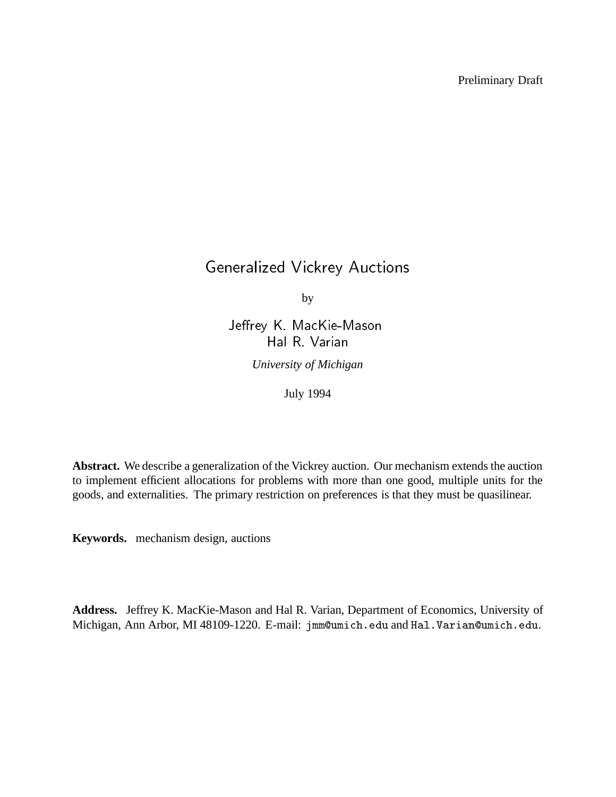Preliminary Draft

# Generalized Vickrey Auctions

by

Jeffrey K. MacKie-Mason Hal R. Varian

*University of Michigan*

July 1994

**Abstract.** We describe a generalization of the Vickrey auction. Our mechanism extends the auction to implement efficient allocations for problems with more than one good, multiple units for the goods, and externalities. The primary restriction on preferences is that they must be quasilinear.

**Keywords.** mechanism design, auctions

**Address.** Jeffrey K. MacKie-Mason and Hal R. Varian, Department of Economics, University of Michigan, Ann Arbor, MI 48109-1220. E-mail: jmm@umich.edu and Hal.Varian@umich.edu.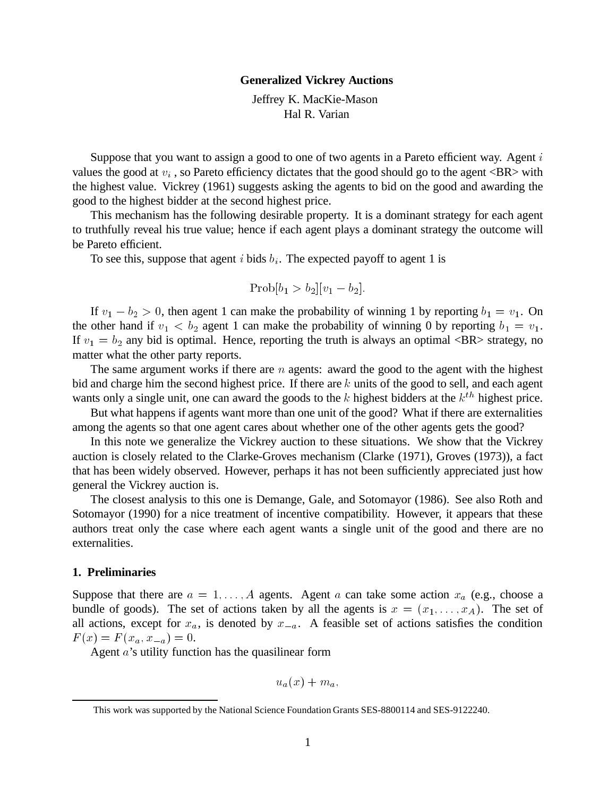#### **Generalized Vickrey Auctions**

Jeffrey K. MacKie-Mason Hal R. Varian

Suppose that you want to assign a good to one of two agents in a Pareto efficient way. Agent  $i$ values the good at  $v_i$ , so Pareto efficiency dictates that the good should go to the agent  $\langle BR \rangle$  with the highest value. Vickrey (1961) suggests asking the agents to bid on the good and awarding the good to the highest bidder at the second highest price.

This mechanism has the following desirable property. It is a dominant strategy for each agent to truthfully reveal his true value; hence if each agent plays a dominant strategy the outcome will be Pareto efficient.

To see this, suppose that agent i bids  $b_i$ . The expected payoff to agent 1 is

$$
Prob[b_1 > b_2][v_1 - b_2].
$$

If  $v_1 - b_2 > 0$ , then agent 1 can make the probability of winning 1 by reporting  $b_1 = v_1$ . On the other hand if  $v_1 < b_2$  agent 1 can make the probability of winning 0 by reporting  $b_1 = v_1$ . If  $v_1 = b_2$  any bid is optimal. Hence, reporting the truth is always an optimal <BR> strategy, no matter what the other party reports.

The same argument works if there are  $n$  agents: award the good to the agent with the highest bid and charge him the second highest price. If there are  $k$  units of the good to sell, and each agent wants only a single unit, one can award the goods to the  $k$  highest bidders at the  $k<sup>th</sup>$  highest price.

But what happens if agents want more than one unit of the good? What if there are externalities among the agents so that one agent cares about whether one of the other agents gets the good?

In this note we generalize the Vickrey auction to these situations. We show that the Vickrey auction is closely related to the Clarke-Groves mechanism (Clarke (1971), Groves (1973)), a fact that has been widely observed. However, perhaps it has not been sufficiently appreciated just how general the Vickrey auction is.

The closest analysis to this one is Demange, Gale, and Sotomayor (1986). See also Roth and Sotomayor (1990) for a nice treatment of incentive compatibility. However, it appears that these authors treat only the case where each agent wants a single unit of the good and there are no externalities.

## **1. Preliminaries**

Suppose that there are  $a = 1, \ldots, A$  agents. Agent a can take some action  $x_a$  (e.g., choose a bundle of goods). The set of actions taken by all the agents is  $x = (x_1, \ldots, x_A)$ . The set of all actions, except for  $x_a$ , is denoted by  $x_{-a}$ . A feasible set of actions satisfies the condition  $F(x) = F (x_a, x_{-a}) = 0.$ 

Agent a's utility function has the quasilinear form

$$
u_a(x)+m_a,
$$

This work was supported by the National Science Foundation Grants SES-8800114 and SES-9122240.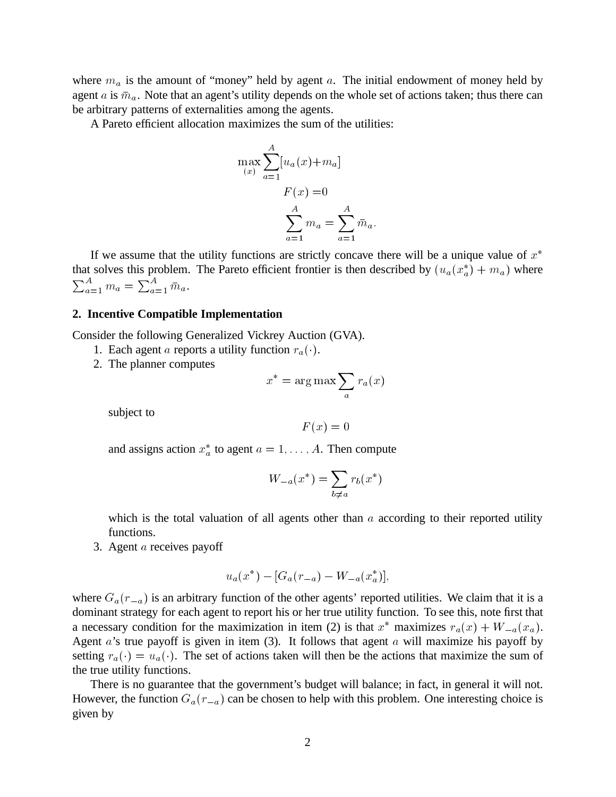where  $m_a$  is the amount of "money" held by agent a. The initial endowment of money held by agent a is  $\bar{m}_a$ . Note that an agent's utility depends on the whole set of actions taken; thus there can be arbitrary patterns of externalities among the agents.

A Pareto efficient allocation maximizes the sum of the utilities:

$$
\max(x) = \sum_{a=1}^{A} [u_a(x) + m_a]
$$

$$
F(x) = 0
$$

$$
\sum_{a=1}^{A} m_a = \sum_{a=1}^{A} \overline{m}_a.
$$

If we assume that the utility functions are strictly concave there will be a unique value of  $x^*$ that solves this problem. The Pareto efficient frontier is then described by  $(u_a(x_a^*) + m_a)$  where  $\sum_{a=1}^{A} m_a = \sum_{a=1}^{A} \bar{m}_a.$ 

#### **2. Incentive Compatible Implementation**

Consider the following Generalized Vickrey Auction (GVA).

- 1. Each agent a reports a utility function  $r_a(\cdot)$ .
- 2. The planner computes

$$
x^* = \arg\max_a \sum_a r_a(x)
$$

subject to

$$
F(x) = 0
$$

and assigns action  $x_a^*$  to agent  $a = 1, \ldots, A$ . Then compute

$$
W_{-a}(x^*) = \sum_{b \neq a} r_b(x^*)
$$

which is the total valuation of all agents other than  $\alpha$  according to their reported utility functions.

3. Agent  $a$  receives payoff

$$
u_a(x^*) - [G_a(r_{-a}) - W_{-a}(x_a^*)],
$$

where  $G_a(r_{-a})$  is an arbitrary function of the other agents' reported utilities. We claim that it is a dominant strategy for each agent to report his or her true utility function. To see this, note first that a necessary condition for the maximization in item (2) is that  $x^*$  maximizes  $r_a(x) + W_{-a}(x_a)$ . Agent  $a$ 's true payoff is given in item (3). It follows that agent  $a$  will maximize his payoff by setting  $r_a(\cdot) = u_a(\cdot)$ . The set of actions taken will then be the actions that maximize the sum of the true utility functions.

There is no guarantee that the government's budget will balance; in fact, in general it will not. However, the function  $G_a(r_{-a})$  can be chosen to help with this problem. One interesting choice is given by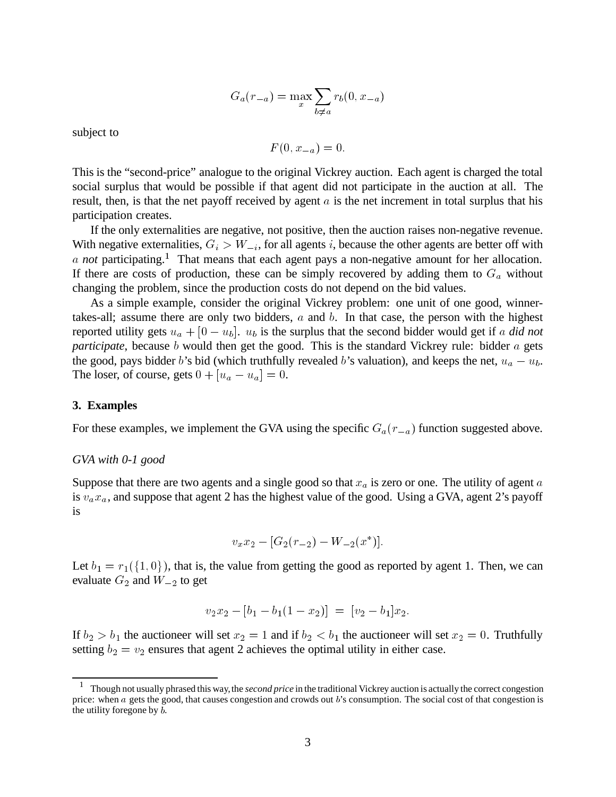$$
G_a(r_{-a}) = \max_x \sum_{b \neq a} r_b(0, x_{-a})
$$

subject to

$$
F(0, x_{-a}) = 0.
$$

This is the "second-price" analogue to the original Vickrey auction. Each agent is charged the total social surplus that would be possible if that agent did not participate in the auction at all. The result, then, is that the net payoff received by agent  $a$  is the net increment in total surplus that his participation creates.

If the only externalities are negative, not positive, then the auction raises non-negative revenue. With negative externalities,  $G_i > W_{-i}$ , for all agents i, because the other agents are better off with a *not* participating.<sup>1</sup> That means that each agent pays a non-negative amount for her allocation. If there are costs of production, these can be simply recovered by adding them to  $G_a$  without changing the problem, since the production costs do not depend on the bid values.

As a simple example, consider the original Vickrey problem: one unit of one good, winnertakes-all; assume there are only two bidders,  $a$  and  $b$ . In that case, the person with the highest reported utility gets  $u_a + [0 - u_b]$ .  $u_b$  is the surplus that the second bidder would get if a *did not participate*, because b would then get the good. This is the standard Vickrey rule: bidder a gets the good, pays bidder b's bid (which truthfully revealed b's valuation), and keeps the net,  $u_a - u_b$ . The loser, of course, gets  $0+[u_a-u_a]=0$ .

#### **3. Examples**

For these examples, we implement the GVA using the specific  $G_a(r_{-a})$  function suggested above.

## *GVA with 0-1 good*

Suppose that there are two agents and a single good so that  $x_a$  is zero or one. The utility of agent  $a$ is  $v_a x_a$ , and suppose that agent 2 has the highest value of the good. Using a GVA, agent 2's payoff is

$$
v_x x_2 - [G_2(r_{-2}) - W_{-2}(x^*)].
$$

Let  $b_1 = r_1({1, 0})$ , that is, the value from getting the good as reported by agent 1. Then, we can evaluate  $G_2$  and  $W_{-2}$  to get

$$
v_2x_2 - [b_1 - b_1(1 - x_2)] = [v_2 - b_1]x_2.
$$

If  $b_2 > b_1$  the auctioneer will set  $x_2 = 1$  and if  $b_2 < b_1$  the auctioneer will set  $x_2 = 0$ . Truthfully setting  $b_2 = v_2$  ensures that agent 2 achieves the optimal utility in either case.

<sup>&</sup>lt;sup>1</sup> Though not usually phrased this way, the *second price* in the traditional Vickrey auction is actually the correct congestion price: when <sup>a</sup> gets the good, that causes congestion and crowds out <sup>b</sup>'s consumption. The social cost of that congestion is the utility foregone by <sup>b</sup>.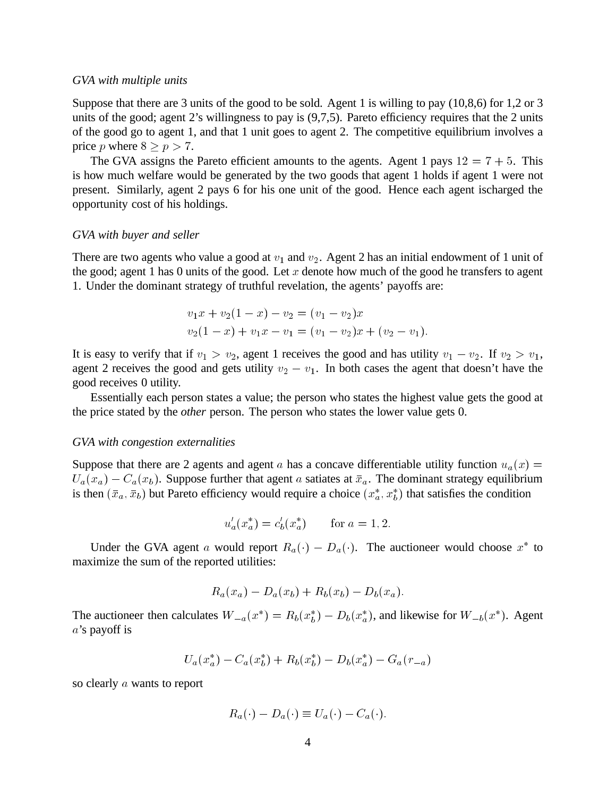#### *GVA with multiple units*

Suppose that there are 3 units of the good to be sold. Agent 1 is willing to pay (10,8,6) for 1,2 or 3 units of the good; agent 2's willingness to pay is (9,7,5). Pareto efficiency requires that the 2 units of the good go to agent 1, and that 1 unit goes to agent 2. The competitive equilibrium involves a price p where  $8 \ge p > 7$ .

The GVA assigns the Pareto efficient amounts to the agents. Agent 1 pays  $12 = 7 + 5$ . This is how much welfare would be generated by the two goods that agent 1 holds if agent 1 were not present. Similarly, agent 2 pays 6 for his one unit of the good. Hence each agent ischarged the opportunity cost of his holdings.

## *GVA with buyer and seller*

There are two agents who value a good at  $v_1$  and  $v_2$ . Agent 2 has an initial endowment of 1 unit of the good; agent 1 has 0 units of the good. Let x denote how much of the good he transfers to agent 1. Under the dominant strategy of truthful revelation, the agents' payoffs are:

$$
v_1x + v_2(1-x) - v_2 = (v_1 - v_2)x
$$
  

$$
v_2(1-x) + v_1x - v_1 = (v_1 - v_2)x + (v_2 - v_1).
$$

It is easy to verify that if  $v_1 > v_2$ , agent 1 receives the good and has utility  $v_1 - v_2$ . If  $v_2 > v_1$ , agent 2 receives the good and gets utility  $v_2 - v_1$ . In both cases the agent that doesn't have the good receives 0 utility.

Essentially each person states a value; the person who states the highest value gets the good at the price stated by the *other* person. The person who states the lower value gets 0.

## *GVA with congestion externalities*

Suppose that there are 2 agents and agent a has a concave differentiable utility function  $u_a(x)$  =  $U_a(x_a) - C_a(x_b)$ . Suppose further that agent a satiates at  $\bar{x}_a$ . The dominant strategy equilibrium is then  $(\bar{x}_a, \bar{x}_b)$  but Pareto efficiency would require a choice  $(x_a^*, x_b^*)$  that satisfies the condition

$$
u'_a(x_a^*) = c'_b(x_a^*)
$$
 for  $a = 1, 2$ .

Under the GVA agent a would report  $R_a(\cdot) - D_a(\cdot)$ . The auctioneer would choose  $x^*$  to maximize the sum of the reported utilities:

$$
R_a(x_a) - D_a(x_b) + R_b(x_b) - D_b(x_a).
$$

The auctioneer then calculates  $W_{-a}(x^*) = R_b(x_b^*) - D_b(x_a^*)$ , and likewise for  $W_{-b}(x^*)$ . Agent a's payoff is

$$
U_a(x_a^*) - C_a(x_b^*) + R_b(x_b^*) - D_b(x_a^*) - G_a(r_{-a})
$$

so clearly a wants to report

$$
R_a(\cdot) - D_a(\cdot) \equiv U_a(\cdot) - C_a(\cdot).
$$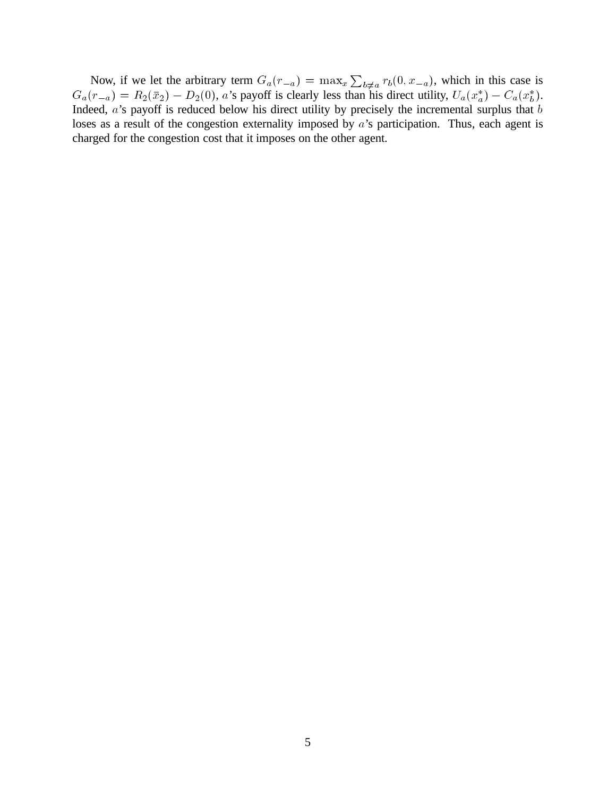Now, if we let the arbitrary term  $G_a(r_{-a}) = \max_x \sum_{b \neq a} r_b(0, x_{-a})$ , which in this case is  $G_a(r_{-a}) = R_2(\bar{x}_2) - D_2(0)$ , a's payoff is clearly less than his direct utility,  $U_a(x_a^*) - C_a(x_b^*)$ . Indeed,  $a$ 's payoff is reduced below his direct utility by precisely the incremental surplus that  $b$ loses as a result of the congestion externality imposed by a's participation. Thus, each agent is charged for the congestion cost that it imposes on the other agent.